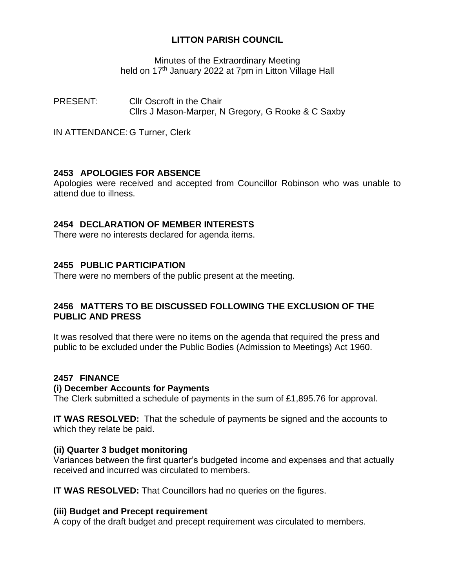# **LITTON PARISH COUNCIL**

Minutes of the Extraordinary Meeting held on 17<sup>th</sup> January 2022 at 7pm in Litton Village Hall

PRESENT: Cllr Oscroft in the Chair Cllrs J Mason-Marper, N Gregory, G Rooke & C Saxby

IN ATTENDANCE: G Turner, Clerk

# **2453 APOLOGIES FOR ABSENCE**

Apologies were received and accepted from Councillor Robinson who was unable to attend due to illness.

### **2454 DECLARATION OF MEMBER INTERESTS**

There were no interests declared for agenda items.

# **2455 PUBLIC PARTICIPATION**

There were no members of the public present at the meeting.

### **2456 MATTERS TO BE DISCUSSED FOLLOWING THE EXCLUSION OF THE PUBLIC AND PRESS**

It was resolved that there were no items on the agenda that required the press and public to be excluded under the Public Bodies (Admission to Meetings) Act 1960.

### **2457 FINANCE**

### **(i) December Accounts for Payments**

The Clerk submitted a schedule of payments in the sum of £1,895.76 for approval.

**IT WAS RESOLVED:** That the schedule of payments be signed and the accounts to which they relate be paid.

### **(ii) Quarter 3 budget monitoring**

Variances between the first quarter's budgeted income and expenses and that actually received and incurred was circulated to members.

**IT WAS RESOLVED:** That Councillors had no queries on the figures.

### **(iii) Budget and Precept requirement**

A copy of the draft budget and precept requirement was circulated to members.